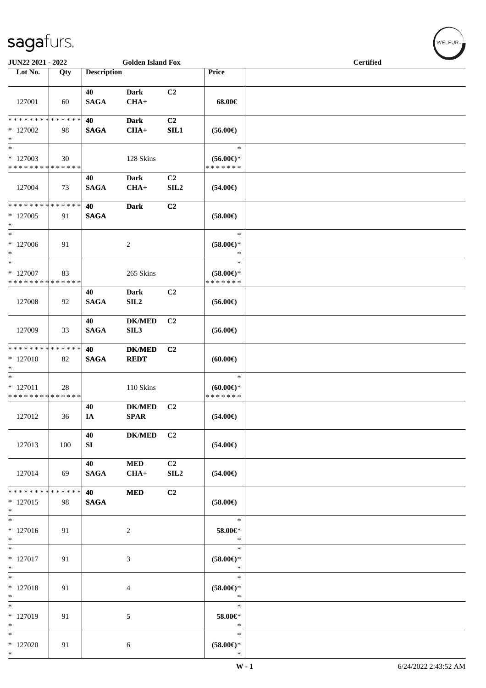| JUN22 2021 - 2022                                   |                   |                    | <b>Golden Island Fox</b>     |                                    |                                                | <b>Certified</b> |  |
|-----------------------------------------------------|-------------------|--------------------|------------------------------|------------------------------------|------------------------------------------------|------------------|--|
| Lot No.                                             | Qty               | <b>Description</b> |                              |                                    | Price                                          |                  |  |
| 127001                                              | 60                | 40<br><b>SAGA</b>  | Dark<br>$CHA+$               | C2                                 | 68.00€                                         |                  |  |
| * * * * * * * * * * * * * *<br>$*127002$<br>$\ast$  | 98                | 40<br><b>SAGA</b>  | <b>Dark</b><br>$CHA+$        | C2<br>SIL1                         | $(56.00\epsilon)$                              |                  |  |
| $*$<br>* 127003<br>* * * * * * * * * * * * * *      | 30                |                    | 128 Skins                    |                                    | $\ast$<br>$(56.00ε)$ *<br>* * * * * * *        |                  |  |
| 127004                                              | 73                | 40<br><b>SAGA</b>  | Dark<br>$CHA+$               | C <sub>2</sub><br>SIL <sub>2</sub> | $(54.00\epsilon)$                              |                  |  |
| * * * * * * * * * * * * * *<br>* 127005<br>$\ast$   | 91                | 40<br><b>SAGA</b>  | <b>Dark</b>                  | C <sub>2</sub>                     | $(58.00\epsilon)$                              |                  |  |
| $\ast$<br>$*127006$<br>$*$                          | 91                |                    | $\overline{c}$               |                                    | $\ast$<br>$(58.00\epsilon)$ *<br>$\ast$        |                  |  |
| $\ast$<br>$*$ 127007<br>* * * * * * * * * * * * * * | 83                |                    | 265 Skins                    |                                    | $\ast$<br>$(58.00\epsilon)$ *<br>* * * * * * * |                  |  |
| 127008                                              | 92                | 40<br><b>SAGA</b>  | <b>Dark</b><br>SL2           | C2                                 | $(56.00\epsilon)$                              |                  |  |
| 127009                                              | 33                | 40<br><b>SAGA</b>  | <b>DK/MED</b><br>SIL3        | C2                                 | $(56.00\epsilon)$                              |                  |  |
| * * * * * * * * * * * * * *<br>* 127010<br>$*$      | 82                | 40<br><b>SAGA</b>  | <b>DK/MED</b><br><b>REDT</b> | C2                                 | (60.00)                                        |                  |  |
| $*$<br>$* 127011$<br>* * * * * * * * * * * * * *    | 28                |                    | 110 Skins                    |                                    | $\ast$<br>$(60.00\epsilon)$ *<br>* * * * * * * |                  |  |
| 127012                                              | 36                | 40<br>IA           | <b>DK/MED</b><br><b>SPAR</b> | C2                                 | $(54.00\epsilon)$                              |                  |  |
| 127013                                              | 100               | 40<br>SI           | <b>DK/MED</b>                | C <sub>2</sub>                     | $(54.00\epsilon)$                              |                  |  |
| 127014                                              | 69                | 40<br><b>SAGA</b>  | <b>MED</b><br>$CHA+$         | C2<br>SLL2                         | $(54.00\epsilon)$                              |                  |  |
| * * * * * * * *<br>$*127015$<br>$\ast$              | * * * * * *<br>98 | 40<br><b>SAGA</b>  | <b>MED</b>                   | C2                                 | $(58.00\epsilon)$                              |                  |  |
| $\ast$<br>* 127016<br>$*$                           | 91                |                    | $\overline{2}$               |                                    | $\ast$<br>58.00€*<br>$\ast$                    |                  |  |
| $*$<br>$* 127017$<br>$\ast$                         | 91                |                    | 3                            |                                    | $\ast$<br>$(58.00ε)$ *<br>$\ast$               |                  |  |
| $*$<br>* 127018<br>$\ast$                           | 91                |                    | $\overline{4}$               |                                    | $\ast$<br>$(58.00\epsilon)$ *<br>$\ast$        |                  |  |
| $\ast$<br>* 127019<br>$*$                           | 91                |                    | 5                            |                                    | $\ast$<br>58.00€*<br>$\ast$                    |                  |  |
| $\ast$<br>$*127020$<br>$*$                          | 91                |                    | 6                            |                                    | $\ast$<br>$(58.00\in)\!\!^*$<br>$\ast$         |                  |  |

WELFUR<sub><sup>N</sub></sub></sub></sup>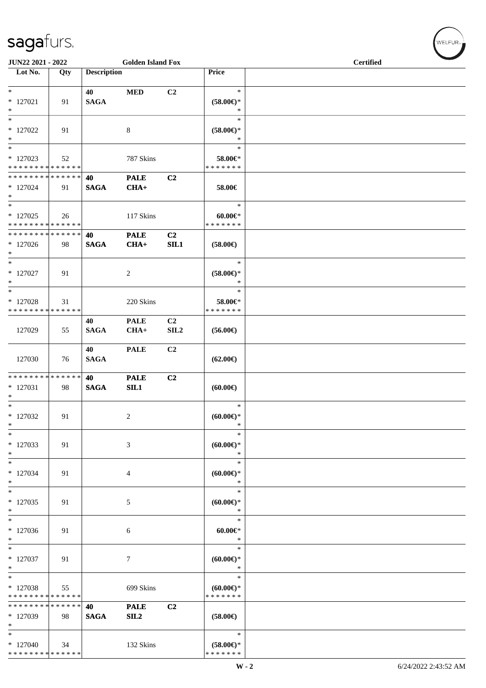| JUN22 2021 - 2022                                                     |     |                    | <b>Golden Island Fox</b> |                        |                                                | <b>Certified</b> |  |
|-----------------------------------------------------------------------|-----|--------------------|--------------------------|------------------------|------------------------------------------------|------------------|--|
| $\overline{\phantom{1}}$ Lot No.                                      | Qty | <b>Description</b> |                          |                        | Price                                          |                  |  |
| $*$<br>$*$ 127021<br>$\ast$                                           | 91  | 40<br><b>SAGA</b>  | <b>MED</b>               | C2                     | $\ast$<br>$(58.00ε)$ *<br>$\ast$               |                  |  |
| $\ast$<br>$*127022$<br>$\ast$                                         | 91  |                    | $8\,$                    |                        | $\ast$<br>$(58.00ε)$ *<br>$\ast$               |                  |  |
| $\ast$<br>$*127023$<br>* * * * * * * * * * * * * *                    | 52  |                    | 787 Skins                |                        | $\ast$<br>58.00€*<br>* * * * * * *             |                  |  |
| * * * * * * * * * * * * * *<br>$*127024$<br>$\ast$                    | 91  | 40<br><b>SAGA</b>  | <b>PALE</b><br>$CHA+$    | C2                     | 58.00€                                         |                  |  |
| $\ast$<br>$*127025$<br>* * * * * * * * * * * * * *                    | 26  |                    | 117 Skins                |                        | $\ast$<br>$60.00 \in$<br>* * * * * * *         |                  |  |
| * * * * * * * * * * * * * *<br>$*127026$<br>$\ast$                    | 98  | 40<br><b>SAGA</b>  | <b>PALE</b><br>$CHA+$    | C2<br>SL1              | $(58.00\epsilon)$                              |                  |  |
| $\ast$<br>$*127027$<br>$\ast$                                         | 91  |                    | $\sqrt{2}$               |                        | $\ast$<br>$(58.00\epsilon)$ *<br>$\ast$        |                  |  |
| $\ast$<br>$*127028$<br>* * * * * * * * * * * * * *                    | 31  |                    | 220 Skins                |                        | $\ast$<br>58.00€*<br>* * * * * * *             |                  |  |
| 127029                                                                | 55  | 40<br><b>SAGA</b>  | <b>PALE</b><br>$CHA+$    | C <sub>2</sub><br>SLL2 | $(56.00\epsilon)$                              |                  |  |
| 127030                                                                | 76  | 40<br><b>SAGA</b>  | <b>PALE</b>              | C2                     | $(62.00\epsilon)$                              |                  |  |
| * * * * * * * * * * * * * *<br>$*127031$<br>$\ast$                    | 98  | 40<br><b>SAGA</b>  | <b>PALE</b><br>SL1       | C2                     | $(60.00\epsilon)$                              |                  |  |
| $\overline{\phantom{a}^*}$<br>$*127032$<br>$\ast$                     | 91  |                    | $\boldsymbol{2}$         |                        | $\ast$<br>(60.00)<br>$\ast$                    |                  |  |
| $\ast$<br>$*127033$<br>$\ast$                                         | 91  |                    | $\mathfrak{Z}$           |                        | *<br>(60.00)<br>$\ast$                         |                  |  |
| $\ast$<br>$*127034$<br>$\ast$                                         | 91  |                    | 4                        |                        | $\ast$<br>$(60.00)$ *<br>$\ast$                |                  |  |
| $\ast$<br>$*127035$<br>$\ast$                                         | 91  |                    | 5                        |                        | $\ast$<br>$(60.00\epsilon)$ *<br>$\ast$        |                  |  |
| $\ast$<br>$*127036$<br>$\ast$                                         | 91  |                    | 6                        |                        | $\ast$<br>$60.00 \in$<br>$\ast$                |                  |  |
| $\ast$<br>* 127037<br>$\ast$                                          | 91  |                    | 7                        |                        | $\ast$<br>$(60.00\epsilon)$ *<br>*             |                  |  |
| $\overline{\phantom{a}^*}$<br>* 127038<br>* * * * * * * * * * * * * * | 55  |                    | 699 Skins                |                        | $\ast$<br>$(60.00\epsilon)$ *<br>* * * * * * * |                  |  |
| * * * * * * * * * * * * * *<br>* 127039<br>$\ast$                     | 98  | 40<br><b>SAGA</b>  | <b>PALE</b><br>SL2       | C2                     | $(58.00\epsilon)$                              |                  |  |
| $\ast$<br>$*127040$<br>******** <mark>******</mark>                   | 34  |                    | 132 Skins                |                        | $\ast$<br>$(58.00\epsilon)$ *<br>* * * * * * * |                  |  |

 $w$ ELFUR-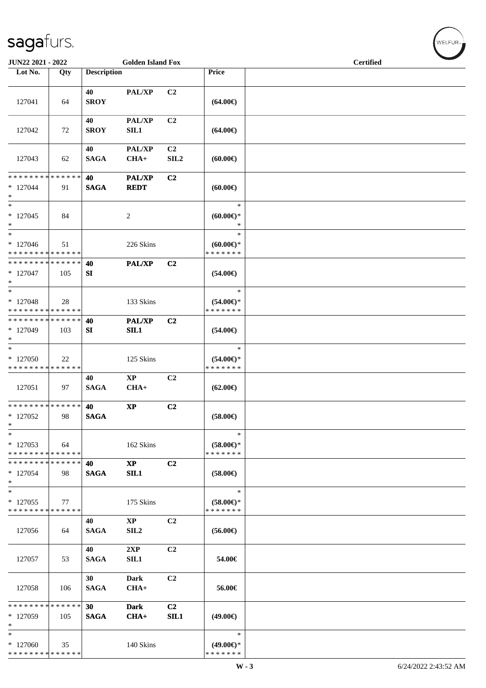| JUN22 2021 - 2022                        |     |                    | <b>Golden Island Fox</b>     |                  |                                      | <b>Certified</b> |  |
|------------------------------------------|-----|--------------------|------------------------------|------------------|--------------------------------------|------------------|--|
| Lot No.                                  | Qty | <b>Description</b> |                              |                  | Price                                |                  |  |
|                                          |     |                    |                              |                  |                                      |                  |  |
|                                          |     | 40                 | PAL/XP                       | C <sub>2</sub>   |                                      |                  |  |
| 127041                                   | 64  | <b>SROY</b>        |                              |                  | $(64.00\epsilon)$                    |                  |  |
|                                          |     |                    |                              |                  |                                      |                  |  |
|                                          |     | 40                 | PAL/XP                       | C2               |                                      |                  |  |
| 127042                                   | 72  | <b>SROY</b>        | SL1                          |                  | $(64.00\epsilon)$                    |                  |  |
|                                          |     |                    |                              |                  |                                      |                  |  |
|                                          |     | 40                 | PAL/XP                       | C <sub>2</sub>   |                                      |                  |  |
| 127043                                   | 62  | <b>SAGA</b>        | $CHA+$                       | SIL <sub>2</sub> | $(60.00\epsilon)$                    |                  |  |
| * * * * * * * * * * * * * *              |     | 40                 |                              |                  |                                      |                  |  |
| $*127044$                                | 91  | <b>SAGA</b>        | <b>PAL/XP</b><br><b>REDT</b> | C2               | (60.00)                              |                  |  |
| $\ast$                                   |     |                    |                              |                  |                                      |                  |  |
| $\overline{\phantom{1}}$                 |     |                    |                              |                  | $\ast$                               |                  |  |
| $*127045$                                | 84  |                    | $\overline{c}$               |                  | $(60.00\epsilon)$ *                  |                  |  |
| $\ast$                                   |     |                    |                              |                  | $\ast$                               |                  |  |
| $\ast$                                   |     |                    |                              |                  | $\ast$                               |                  |  |
| $*127046$                                | 51  |                    | 226 Skins                    |                  | $(60.00 \in )$ *                     |                  |  |
| * * * * * * * * * * * * * *              |     |                    |                              |                  | * * * * * * *                        |                  |  |
| ******** <mark>******</mark>             |     | 40                 | <b>PAL/XP</b>                | C <sub>2</sub>   |                                      |                  |  |
| $*127047$                                | 105 | SI                 |                              |                  | $(54.00\in)$                         |                  |  |
| $\ast$<br>$\ast$                         |     |                    |                              |                  | $\ast$                               |                  |  |
|                                          |     |                    |                              |                  |                                      |                  |  |
| $*127048$<br>* * * * * * * * * * * * * * | 28  |                    | 133 Skins                    |                  | $(54.00\epsilon)$ *<br>* * * * * * * |                  |  |
| * * * * * * * * * * * * * *              |     | 40                 | <b>PAL/XP</b>                | C <sub>2</sub>   |                                      |                  |  |
| * 127049                                 | 103 | SI                 | SIL1                         |                  | $(54.00\epsilon)$                    |                  |  |
| $\ast$                                   |     |                    |                              |                  |                                      |                  |  |
| $\ast$                                   |     |                    |                              |                  | $\ast$                               |                  |  |
| $*127050$                                | 22  |                    | 125 Skins                    |                  | $(54.00\epsilon)$ *                  |                  |  |
| * * * * * * * * * * * * * *              |     |                    |                              |                  | * * * * * * *                        |                  |  |
|                                          |     | 40                 | $\mathbf{X}\mathbf{P}$       | C2               |                                      |                  |  |
| 127051                                   | 97  | <b>SAGA</b>        | $CHA+$                       |                  | $(62.00\epsilon)$                    |                  |  |
|                                          |     |                    |                              |                  |                                      |                  |  |
| **************                           |     | 40                 | $\bold{XP}$                  | C2               |                                      |                  |  |
| $*127052$<br>$\ast$                      | 98  | <b>SAGA</b>        |                              |                  | $(58.00\epsilon)$                    |                  |  |
| $\ast$                                   |     |                    |                              |                  | $\ast$                               |                  |  |
| $*127053$                                | 64  |                    | 162 Skins                    |                  | $(58.00\epsilon)$ *                  |                  |  |
| * * * * * * * * * * * * * *              |     |                    |                              |                  | * * * * * * *                        |                  |  |
| * * * * * * * * * * * * * *              |     | 40                 | $\mathbf{X}\mathbf{P}$       | C <sub>2</sub>   |                                      |                  |  |
| $*127054$                                | 98  | <b>SAGA</b>        | SL1                          |                  | $(58.00\epsilon)$                    |                  |  |
| $\ast$                                   |     |                    |                              |                  |                                      |                  |  |
| $\ast$                                   |     |                    |                              |                  | $\ast$                               |                  |  |
| $*127055$                                | 77  |                    | 175 Skins                    |                  | $(58.00\epsilon)$ *                  |                  |  |
| * * * * * * * * * * * * * *              |     |                    |                              |                  | * * * * * * *                        |                  |  |
|                                          |     | 40                 | <b>XP</b>                    | C2               |                                      |                  |  |
| 127056                                   | 64  | <b>SAGA</b>        | SIL <sub>2</sub>             |                  | $(56.00\epsilon)$                    |                  |  |
|                                          |     | 40                 | 2XP                          | C2               |                                      |                  |  |
| 127057                                   | 53  | <b>SAGA</b>        | SIL1                         |                  | 54.00€                               |                  |  |
|                                          |     |                    |                              |                  |                                      |                  |  |
|                                          |     | 30                 | Dark                         | C <sub>2</sub>   |                                      |                  |  |
| 127058                                   | 106 | <b>SAGA</b>        | $CHA+$                       |                  | 56.00€                               |                  |  |
|                                          |     |                    |                              |                  |                                      |                  |  |
| * * * * * * * * * * * * * *              |     | 30                 | <b>Dark</b>                  | C <sub>2</sub>   |                                      |                  |  |
| $*127059$                                | 105 | <b>SAGA</b>        | CHA+                         | SIL1             | $(49.00\epsilon)$                    |                  |  |
| $\ast$                                   |     |                    |                              |                  |                                      |                  |  |
| $\ast$                                   |     |                    |                              |                  | $\ast$                               |                  |  |
| * 127060<br>* * * * * * * * * * * * * *  | 35  |                    | 140 Skins                    |                  | $(49.00\epsilon)$ *<br>* * * * * * * |                  |  |
|                                          |     |                    |                              |                  |                                      |                  |  |

 $w$ ELFUR-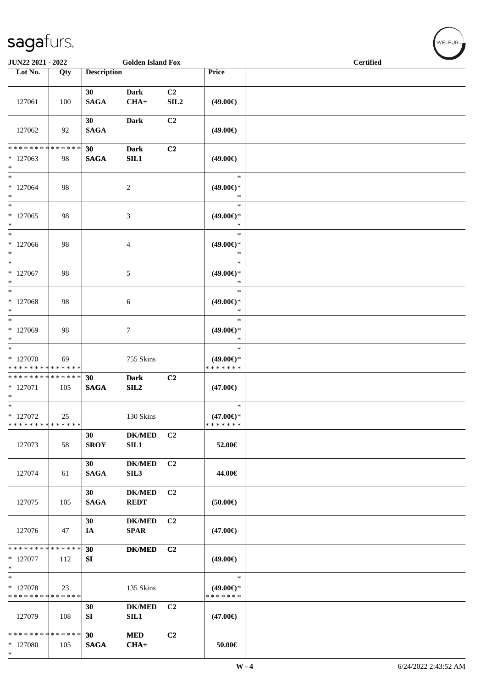\*

| JUN22 2021 - 2022                                   |     |                    | <b>Golden Island Fox</b>     |                |                                                | <b>Certified</b> |  |
|-----------------------------------------------------|-----|--------------------|------------------------------|----------------|------------------------------------------------|------------------|--|
| Lot No.                                             | Qty | <b>Description</b> |                              |                | Price                                          |                  |  |
| 127061                                              | 100 | 30<br><b>SAGA</b>  | <b>Dark</b><br>$CHA+$        | C2<br>SLL2     | $(49.00\epsilon)$                              |                  |  |
| 127062                                              | 92  | 30<br><b>SAGA</b>  | Dark                         | C2             | $(49.00\epsilon)$                              |                  |  |
| * * * * * * * * * * * * * *<br>$*127063$<br>$\ast$  | 98  | 30<br><b>SAGA</b>  | <b>Dark</b><br>SL1           | C2             | $(49.00\epsilon)$                              |                  |  |
| $\ast$<br>$*127064$<br>$\ast$                       | 98  |                    | $\sqrt{2}$                   |                | $\ast$<br>$(49.00\epsilon)$ *<br>$\ast$        |                  |  |
| $\overline{\phantom{1}}$<br>$*127065$<br>$\ast$     | 98  |                    | $\mathfrak{Z}$               |                | $\ast$<br>$(49.00\epsilon)$ *<br>$\ast$        |                  |  |
| $\ast$<br>$*127066$<br>$\ast$                       | 98  |                    | $\overline{4}$               |                | $\ast$<br>$(49.00\epsilon)$ *<br>$\ast$        |                  |  |
| $\ast$<br>$*127067$<br>$\ast$                       | 98  |                    | 5                            |                | $\ast$<br>$(49.00\epsilon)$ *<br>$\ast$        |                  |  |
| $\ast$<br>$*127068$<br>$\ast$                       | 98  |                    | 6                            |                | $\ast$<br>$(49.00\epsilon)$ *<br>$\ast$        |                  |  |
| $\ast$<br>* 127069<br>$\ast$                        | 98  |                    | $\tau$                       |                | $\ast$<br>$(49.00\epsilon)$ *<br>$\ast$        |                  |  |
| $\ast$<br>* 127070<br>* * * * * * * * * * * * * *   | 69  |                    | 755 Skins                    |                | $\ast$<br>$(49.00\epsilon)$ *<br>* * * * * * * |                  |  |
| * * * * * * * * * * * * * *<br>$* 127071$<br>$\ast$ | 105 | 30<br><b>SAGA</b>  | <b>Dark</b><br>SL2           | C2             | $(47.00\epsilon)$                              |                  |  |
| $*$<br>$*$ 127072<br>* * * * * * * * * * * * * *    | 25  |                    | 130 Skins                    |                | $\ast$<br>$(47.00\epsilon)$ *<br>* * * * * * * |                  |  |
| 127073                                              | 58  | 30<br><b>SROY</b>  | <b>DK/MED</b><br>SIL1        | C <sub>2</sub> | 52.00€                                         |                  |  |
| 127074                                              | 61  | 30<br><b>SAGA</b>  | <b>DK/MED</b><br>SIL3        | C2             | 44.00€                                         |                  |  |
| 127075                                              | 105 | 30<br><b>SAGA</b>  | <b>DK/MED</b><br><b>REDT</b> | C2             | (50.00)                                        |                  |  |
| 127076                                              | 47  | 30<br>IA           | <b>DK/MED</b><br><b>SPAR</b> | C <sub>2</sub> | $(47.00\epsilon)$                              |                  |  |
| * * * * * * * * * * * * * *<br>$*127077$<br>$\ast$  | 112 | 30<br>SI           | $DK/MED$                     | C2             | $(49.00\epsilon)$                              |                  |  |
| $\ast$<br>* 127078<br>* * * * * * * * * * * * * *   | 23  |                    | 135 Skins                    |                | $\ast$<br>$(49.00\epsilon)$ *<br>* * * * * * * |                  |  |
| 127079                                              | 108 | 30<br>SI           | $DK/MED$<br>SL1              | C2             | $(47.00\epsilon)$                              |                  |  |
| * * * * * * * * * * * * * *<br>* 127080             | 105 | 30<br><b>SAGA</b>  | <b>MED</b><br>$CHA+$         | C2             | $50.00 \in$                                    |                  |  |

 $w$ ELFUR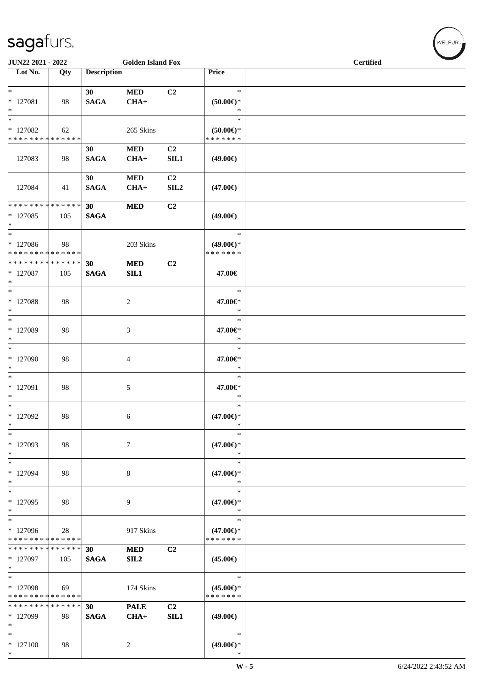| <b>Golden Island Fox</b><br><b>JUN22 2021 - 2022</b>                               |     |                    |                       |                                    | <b>Certified</b>                               |  |
|------------------------------------------------------------------------------------|-----|--------------------|-----------------------|------------------------------------|------------------------------------------------|--|
| Lot No.                                                                            | Qty | <b>Description</b> |                       |                                    | Price                                          |  |
| $\overline{\phantom{0}}$<br>$*$ 127081<br>$\ast$                                   | 98  | 30<br><b>SAGA</b>  | <b>MED</b><br>$CHA+$  | C2                                 | $\ast$<br>$(50.00\epsilon)$ *<br>$\ast$        |  |
| $\ast$<br>* 127082<br>* * * * * * * * <mark>* * * * * *</mark>                     | 62  |                    | 265 Skins             |                                    | $\ast$<br>$(50.00ε)$ *<br>* * * * * * *        |  |
| 127083                                                                             | 98  | 30<br><b>SAGA</b>  | <b>MED</b><br>$CHA+$  | C <sub>2</sub><br><b>SIL1</b>      | $(49.00\epsilon)$                              |  |
| 127084                                                                             | 41  | 30<br><b>SAGA</b>  | <b>MED</b><br>$CHA+$  | C <sub>2</sub><br>SIL <sub>2</sub> | $(47.00\epsilon)$                              |  |
| * * * * * * * * <mark>* * * * * * *</mark><br>* 127085<br>$*$                      | 105 | 30<br><b>SAGA</b>  | <b>MED</b>            | C2                                 | $(49.00\epsilon)$                              |  |
| $*$<br>* 127086<br>* * * * * * * * * * * * * *                                     | 98  |                    | 203 Skins             |                                    | $\ast$<br>$(49.00\epsilon)$ *<br>* * * * * * * |  |
| * * * * * * * * <mark>* * * * * * *</mark><br>$*$ 127087<br>$*$                    | 105 | 30<br><b>SAGA</b>  | <b>MED</b><br>SL1     | C2                                 | 47.00€                                         |  |
| $*$<br>* 127088<br>$*$                                                             | 98  |                    | 2                     |                                    | $\ast$<br>47.00€*<br>$\ast$                    |  |
| $*$<br>* 127089<br>$*$                                                             | 98  |                    | 3                     |                                    | $\ast$<br>47.00€*<br>$\ast$                    |  |
| $*$<br>* 127090<br>$*$                                                             | 98  |                    | 4                     |                                    | $\ast$<br>47.00€*<br>$\ast$                    |  |
| $*$<br>* 127091<br>$*$                                                             | 98  |                    | 5                     |                                    | $\ast$<br>47.00€*<br>$\ast$                    |  |
| * 127092<br>$\ast$                                                                 | 98  |                    | 6                     |                                    | $\ast$<br>$(47.00\epsilon)$ *<br>$\ast$        |  |
| $*$<br>* 127093<br>$\ast$                                                          | 98  |                    | $7\phantom{.0}$       |                                    | $\ast$<br>$(47.00\epsilon)$ *<br>$\ast$        |  |
| $*$<br>* 127094<br>$\ast$                                                          | 98  |                    | 8                     |                                    | $\ast$<br>$(47.00\epsilon)$ *<br>$\ast$        |  |
| $*$<br>* 127095<br>$*$                                                             | 98  |                    | 9                     |                                    | $\ast$<br>$(47.00\epsilon)$ *<br>$\ast$        |  |
| $*$<br>* 127096<br>* * * * * * * * <mark>* * * * * * *</mark>                      | 28  |                    | 917 Skins             |                                    | $\ast$<br>$(47.00\epsilon)$ *<br>* * * * * * * |  |
| * * * * * * * * <mark>* * * * * *</mark><br>* 127097<br>$\ast$                     | 105 | 30<br><b>SAGA</b>  | <b>MED</b><br>SL2     | C <sub>2</sub>                     | $(45.00\epsilon)$                              |  |
| $\overline{\phantom{0}}$<br>* 127098<br>* * * * * * * * <mark>* * * * * * *</mark> | 69  |                    | 174 Skins             |                                    | $\ast$<br>$(45.00\epsilon)$ *<br>* * * * * * * |  |
| * * * * * * * * * * * * * *<br>* 127099<br>$\ast$                                  | 98  | 30<br><b>SAGA</b>  | <b>PALE</b><br>$CHA+$ | C2<br><b>SIL1</b>                  | $(49.00\epsilon)$                              |  |
| $*$<br>$*127100$<br>$*$                                                            | 98  |                    | $\overline{c}$        |                                    | $\ast$<br>$(49.00\epsilon)$ *<br>$\ast$        |  |

 $\left(\mathsf{WELFUR}_{\mathbb{Z}}\right)$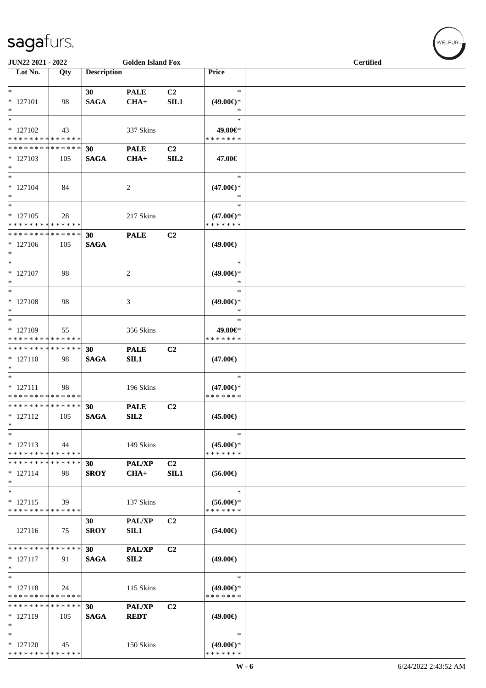| JUN22 2021 - 2022                        |     |                    | <b>Golden Island Fox</b> |                  |                                      | <b>Certified</b> |  |
|------------------------------------------|-----|--------------------|--------------------------|------------------|--------------------------------------|------------------|--|
| $\overline{\phantom{1}}$ Lot No.         | Qty | <b>Description</b> |                          |                  | Price                                |                  |  |
|                                          |     |                    |                          |                  |                                      |                  |  |
| $*$                                      |     | 30                 | <b>PALE</b>              | C2               | $\ast$                               |                  |  |
| $* 127101$<br>$\ast$                     | 98  | <b>SAGA</b>        | $CHA+$                   | <b>SIL1</b>      | $(49.00ε)$ *<br>$\ast$               |                  |  |
| $\ast$                                   |     |                    |                          |                  | $\ast$                               |                  |  |
| $*127102$                                | 43  |                    | 337 Skins                |                  | 49.00€*                              |                  |  |
| * * * * * * * * * * * * * *              |     |                    |                          |                  | * * * * * * *                        |                  |  |
| * * * * * * * * * * * * * *              |     | 30                 | <b>PALE</b>              | C <sub>2</sub>   |                                      |                  |  |
| $*127103$<br>$\ast$                      | 105 | <b>SAGA</b>        | $CHA+$                   | SIL <sub>2</sub> | 47.00€                               |                  |  |
| $\ast$                                   |     |                    |                          |                  | $\ast$                               |                  |  |
| $* 127104$                               | 84  |                    | 2                        |                  | $(47.00\epsilon)$ *                  |                  |  |
| $\ast$                                   |     |                    |                          |                  | *                                    |                  |  |
| $\ast$                                   |     |                    |                          |                  | $\ast$                               |                  |  |
| $*127105$<br>* * * * * * * * * * * * * * | 28  |                    | 217 Skins                |                  | $(47.00\epsilon)$ *<br>* * * * * * * |                  |  |
| * * * * * * * * * * * * * *              |     | 30                 | <b>PALE</b>              | C <sub>2</sub>   |                                      |                  |  |
| $*127106$                                | 105 | <b>SAGA</b>        |                          |                  | $(49.00\epsilon)$                    |                  |  |
| $\ast$                                   |     |                    |                          |                  |                                      |                  |  |
| $\ast$                                   |     |                    |                          |                  | $\ast$                               |                  |  |
| $* 127107$                               | 98  |                    | $\overline{c}$           |                  | $(49.00ε)$ *                         |                  |  |
| $\ast$<br>$\ast$                         |     |                    |                          |                  | $\ast$<br>$\ast$                     |                  |  |
| $* 127108$                               | 98  |                    | 3                        |                  | $(49.00\epsilon)$ *                  |                  |  |
| $\ast$                                   |     |                    |                          |                  | $\ast$                               |                  |  |
| $\ast$                                   |     |                    |                          |                  | $\ast$                               |                  |  |
| $*127109$                                | 55  |                    | 356 Skins                |                  | 49.00€*                              |                  |  |
| * * * * * * * * * * * * * *              |     |                    |                          |                  | * * * * * * *                        |                  |  |
| * * * * * * * * * * * * * *              |     | 30                 | <b>PALE</b>              | C <sub>2</sub>   |                                      |                  |  |
| $* 127110$<br>$\ast$                     | 98  | <b>SAGA</b>        | SL1                      |                  | $(47.00\epsilon)$                    |                  |  |
| $*$                                      |     |                    |                          |                  | $\ast$                               |                  |  |
| $* 127111$                               | 98  |                    | 196 Skins                |                  | $(47.00\epsilon)$ *                  |                  |  |
| * * * * * * * * * * * * * *              |     |                    |                          |                  | * * * * * * *                        |                  |  |
| **************                           |     | 30                 | <b>PALE</b>              | C <sub>2</sub>   |                                      |                  |  |
| $* 127112$                               | 105 | <b>SAGA</b>        | SL2                      |                  | $(45.00\epsilon)$                    |                  |  |
| $\ast$<br>$\ast$                         |     |                    |                          |                  | $\ast$                               |                  |  |
| $* 127113$                               | 44  |                    | 149 Skins                |                  | $(45.00€)$ *                         |                  |  |
| * * * * * * * * * * * * * *              |     |                    |                          |                  | * * * * * * *                        |                  |  |
| * * * * * * * * * * * * * *              |     | 30                 | <b>PAL/XP</b>            | C2               |                                      |                  |  |
| $* 127114$                               | 98  | <b>SROY</b>        | $CHA+$                   | SL1              | $(56.00\epsilon)$                    |                  |  |
| $\ast$<br>$\ast$                         |     |                    |                          |                  |                                      |                  |  |
| $* 127115$                               | 39  |                    | 137 Skins                |                  | $\ast$<br>$(56.00\epsilon)$ *        |                  |  |
| * * * * * * * * * * * * * *              |     |                    |                          |                  | * * * * * * *                        |                  |  |
|                                          |     | 30                 | <b>PAL/XP</b>            | C <sub>2</sub>   |                                      |                  |  |
| 127116                                   | 75  | <b>SROY</b>        | SIL1                     |                  | $(54.00\epsilon)$                    |                  |  |
|                                          |     |                    |                          |                  |                                      |                  |  |
| * * * * * * * * * * * * * *              |     | 30                 | <b>PAL/XP</b>            | C <sub>2</sub>   |                                      |                  |  |
| $* 127117$<br>$\ast$                     | 91  | <b>SAGA</b>        | SIL <sub>2</sub>         |                  | $(49.00\epsilon)$                    |                  |  |
| $\ast$                                   |     |                    |                          |                  | $\ast$                               |                  |  |
| $* 127118$                               | 24  |                    | 115 Skins                |                  | $(49.00€)$ *                         |                  |  |
| * * * * * * * * * * * * * *              |     |                    |                          |                  | * * * * * * *                        |                  |  |
| * * * * * * * * * * * * * *              |     | 30                 | <b>PAL/XP</b>            | C <sub>2</sub>   |                                      |                  |  |
| $* 127119$                               | 105 | <b>SAGA</b>        | <b>REDT</b>              |                  | $(49.00\epsilon)$                    |                  |  |
| $\ast$<br>$\ast$                         |     |                    |                          |                  | $\ast$                               |                  |  |
| $* 127120$                               | 45  |                    | 150 Skins                |                  | $(49.00\epsilon)$ *                  |                  |  |
| * * * * * * * * * * * * * *              |     |                    |                          |                  | * * * * * * *                        |                  |  |

 $(\forall ELFUR_{\approx})$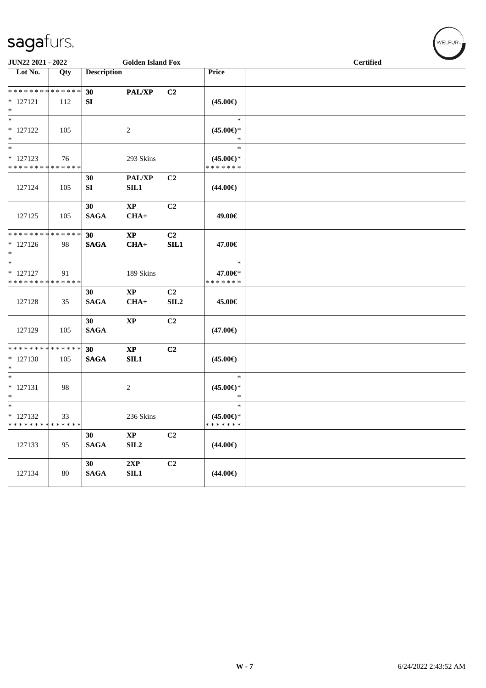| JUN22 2021 - 2022                                   |        |                       | <b>Golden Island Fox</b>       |                                    |                                                | <b>Certified</b> |
|-----------------------------------------------------|--------|-----------------------|--------------------------------|------------------------------------|------------------------------------------------|------------------|
| $\overline{\phantom{1}}$ Lot No.                    | Qty    | <b>Description</b>    |                                |                                    | Price                                          |                  |
| **************                                      |        | 30                    | PAL/XP                         | C2                                 |                                                |                  |
| $* 127121$<br>$\ast$                                | 112    | SI                    |                                |                                    | $(45.00\epsilon)$                              |                  |
| $\ast$<br>$* 127122$<br>$\ast$                      | 105    |                       | 2                              |                                    | $\ast$<br>$(45.00\epsilon)$ *<br>$\ast$        |                  |
| $\ast$<br>$* 127123$<br>* * * * * * * * * * * * * * | 76     |                       | 293 Skins                      |                                    | $\ast$<br>$(45.00\epsilon)$ *<br>* * * * * * * |                  |
| 127124                                              | 105    | 30<br>SI              | <b>PAL/XP</b><br>SL1           | C <sub>2</sub>                     | $(44.00\epsilon)$                              |                  |
| 127125                                              | 105    | 30<br><b>SAGA</b>     | $\bold{XP}$<br>$CHA+$          | C2                                 | 49.00€                                         |                  |
| * * * * * * * * * * * * * *                         |        | 30                    | $\bold{XP}$                    | C2                                 |                                                |                  |
| $* 127126$<br>$\ast$                                | 98     | <b>SAGA</b>           | $CHA+$                         | SL1                                | 47.00€                                         |                  |
| $\ast$<br>$* 127127$                                | 91     |                       | 189 Skins                      |                                    | $\ast$<br>47.00€*                              |                  |
| * * * * * * * * * * * * * *                         |        |                       |                                |                                    | * * * * * * *                                  |                  |
| 127128                                              | 35     | 30<br><b>SAGA</b>     | $\bold{XP}$<br>$CHA+$          | C <sub>2</sub><br>SIL <sub>2</sub> | 45.00€                                         |                  |
| 127129                                              | 105    | 30<br><b>SAGA</b>     | $\bold{XP}$                    | C2                                 | $(47.00\epsilon)$                              |                  |
| * * * * * * * * * * * * * *<br>$* 127130$<br>$\ast$ | 105    | 30<br><b>SAGA</b>     | $\bold{XP}$<br>SIL1            | C2                                 | $(45.00\epsilon)$                              |                  |
| $\overline{\phantom{a}^*}$<br>$* 127131$<br>$\ast$  | 98     |                       | 2                              |                                    | $\ast$<br>$(45.00\epsilon)$ *<br>$\ast$        |                  |
| $\ast$<br>$* 127132$<br>* * * * * * * * * * * * * * | 33     |                       | 236 Skins                      |                                    | $\ast$<br>$(45.00\epsilon)$ *<br>* * * * * * * |                  |
| 127133                                              | 95     | 30<br>$\mathbf{SAGA}$ | $\mathbf{X}\mathbf{P}$<br>SLL2 | C2                                 | $(44.00\epsilon)$                              |                  |
| 127134                                              | $80\,$ | 30<br>$\mathbf{SAGA}$ | 2XP<br>SIL1                    | C2                                 | $(44.00\epsilon)$                              |                  |

 $(\forall ELFUR_{\approx})$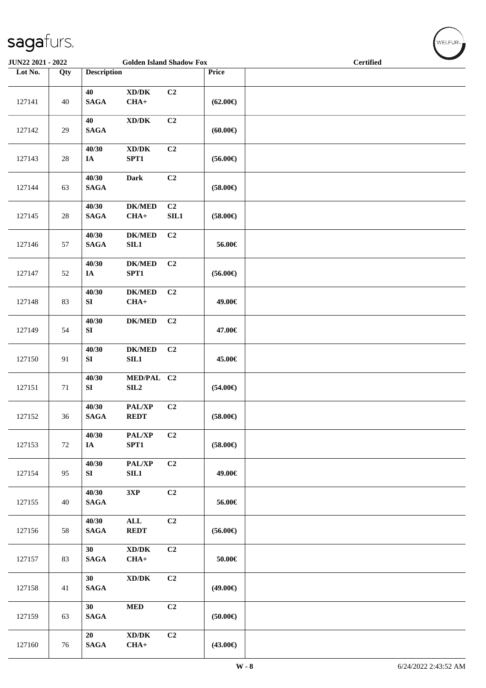| <b>JUN22 2021 - 2022</b><br><b>Golden Island Shadow Fox</b> |        |                           |                                               |                |                   | <b>Certified</b> |  |
|-------------------------------------------------------------|--------|---------------------------|-----------------------------------------------|----------------|-------------------|------------------|--|
| Lot No.                                                     | Qty    | <b>Description</b>        |                                               |                | Price             |                  |  |
| 127141                                                      | 40     | 40<br>$\mathbf{SAGA}$     | $\bold{X}\bold{D}/\bold{D}\bold{K}$<br>$CHA+$ | C2             | $(62.00\epsilon)$ |                  |  |
| 127142                                                      | 29     | 40<br><b>SAGA</b>         | $\boldsymbol{\text{XD}/\text{DK}}$            | C2             | (60.00)           |                  |  |
| 127143                                                      | $28\,$ | 40/30<br>IA               | $\bold{X}\bold{D}/\bold{D}\bold{K}$<br>SPT1   | C2             | $(56.00\epsilon)$ |                  |  |
| 127144                                                      | 63     | 40/30<br><b>SAGA</b>      | <b>Dark</b>                                   | C2             | $(58.00\epsilon)$ |                  |  |
| 127145                                                      | $28\,$ | 40/30<br>$\mathbf{SAGA}$  | $DK/MED$<br>$CHA+$                            | C2<br>SL1      | $(58.00\epsilon)$ |                  |  |
| 127146                                                      | 57     | 40/30<br><b>SAGA</b>      | <b>DK/MED</b><br>SL1                          | C <sub>2</sub> | 56.00€            |                  |  |
| 127147                                                      | 52     | 40/30<br>$\mathbf{IA}$    | $DK/MED$<br>SPT1                              | C <sub>2</sub> | $(56.00\epsilon)$ |                  |  |
| 127148                                                      | 83     | 40/30<br>${\bf SI}$       | $DK/MED$<br>$CHA+$                            | C2             | 49.00€            |                  |  |
| 127149                                                      | 54     | 40/30<br>SI               | $DK/MED$                                      | C <sub>2</sub> | 47.00€            |                  |  |
| 127150                                                      | 91     | 40/30<br>${\bf S}{\bf I}$ | $DK/MED$<br>SL1                               | C2             | 45.00€            |                  |  |
| 127151                                                      | $71\,$ | 40/30<br>${\bf S}{\bf I}$ | MED/PAL C2<br>SL2                             |                | $(54.00\epsilon)$ |                  |  |
| 127152                                                      | 36     | 40/30<br><b>SAGA</b>      | PAL/XP<br><b>REDT</b>                         | C2             | $(58.00\epsilon)$ |                  |  |
| 127153                                                      | $72\,$ | 40/30<br>IA               | $\mathbf{PAL}/\mathbf{XP}$<br>SPT1            | C2             | $(58.00\epsilon)$ |                  |  |
| 127154                                                      | 95     | 40/30<br>SI               | PAL/XP<br>SL1                                 | C2             | 49.00€            |                  |  |
| 127155                                                      | 40     | 40/30<br><b>SAGA</b>      | 3XP                                           | C2             | 56.00€            |                  |  |
| 127156                                                      | 58     | 40/30<br><b>SAGA</b>      | $\mathbf{ALL}$<br><b>REDT</b>                 | C <sub>2</sub> | $(56.00\epsilon)$ |                  |  |
| 127157                                                      | 83     | 30<br><b>SAGA</b>         | XD/DK<br>$CHA+$                               | C <sub>2</sub> | $50.00\in$        |                  |  |
| 127158                                                      | 41     | 30<br><b>SAGA</b>         | $\boldsymbol{\text{XD}/\text{DK}}$            | C <sub>2</sub> | $(49.00\epsilon)$ |                  |  |
| 127159                                                      | 63     | 30<br>$\mathbf{SAGA}$     | $\bf MED$                                     | C <sub>2</sub> | $(50.00\epsilon)$ |                  |  |
| 127160                                                      | $76\,$ | 20<br>$\mathbf{SAGA}$     | $\bold{X}\bold{D}/\bold{D}\bold{K}$<br>$CHA+$ | C2             | $(43.00\epsilon)$ |                  |  |

WELFUR<sub>"</sub>